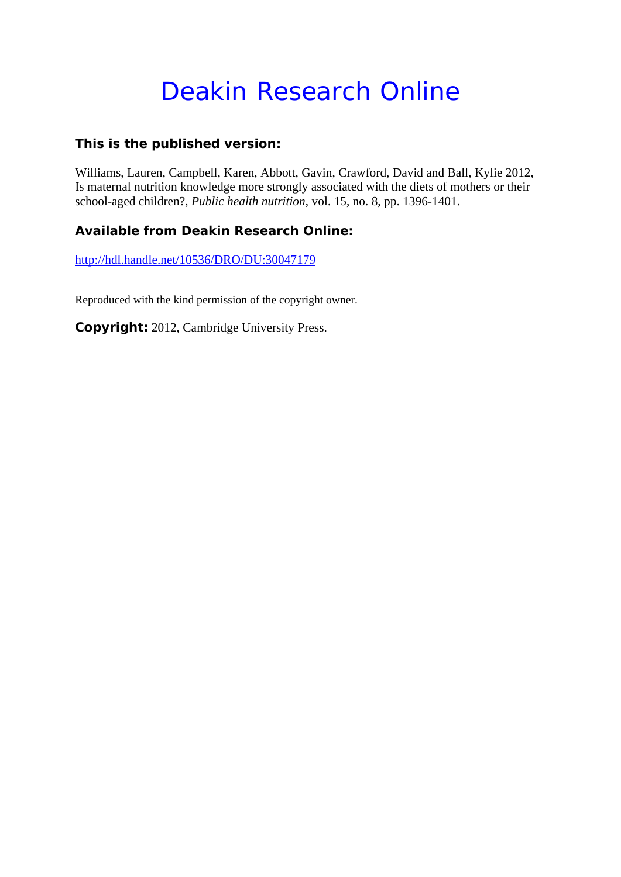# Deakin Research Online

### **This is the published version:**

Williams, Lauren, Campbell, Karen, Abbott, Gavin, Crawford, David and Ball, Kylie 2012, Is maternal nutrition knowledge more strongly associated with the diets of mothers or their school-aged children?*, Public health nutrition*, vol. 15, no. 8, pp. 1396-1401.

### **Available from Deakin Research Online:**

http://hdl.handle.net/10536/DRO/DU:30047179

Reproduced with the kind permission of the copyright owner.

**Copyright:** 2012, Cambridge University Press.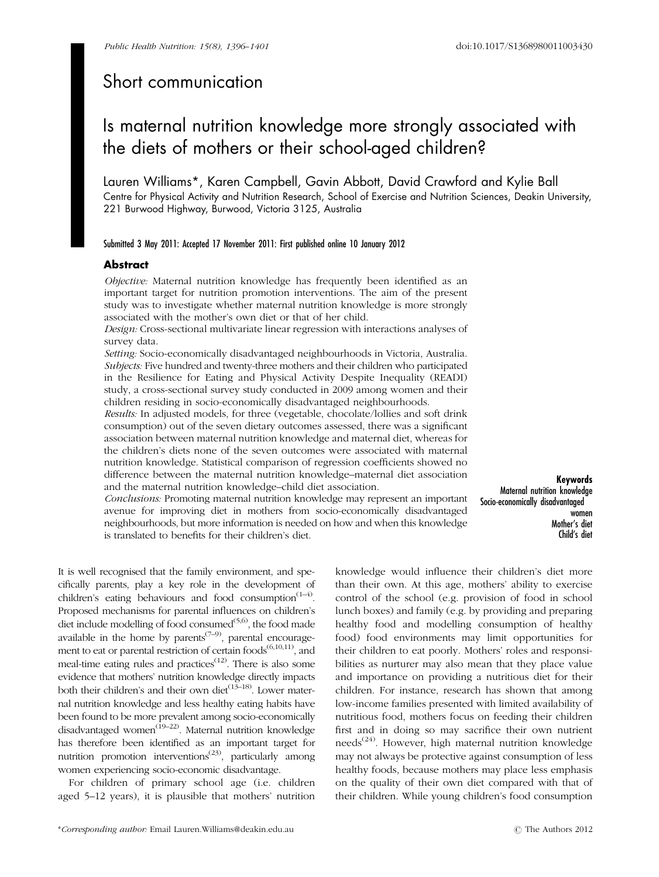## Short communication

# Is maternal nutrition knowledge more strongly associated with the diets of mothers or their school-aged children?

Lauren Williams\*, Karen Campbell, Gavin Abbott, David Crawford and Kylie Ball Centre for Physical Activity and Nutrition Research, School of Exercise and Nutrition Sciences, Deakin University, 221 Burwood Highway, Burwood, Victoria 3125, Australia

#### Submitted 3 May 2011: Accepted 17 November 2011: First published online 10 January 2012

#### Abstract

Objective: Maternal nutrition knowledge has frequently been identified as an important target for nutrition promotion interventions. The aim of the present study was to investigate whether maternal nutrition knowledge is more strongly associated with the mother's own diet or that of her child.

Design: Cross-sectional multivariate linear regression with interactions analyses of survey data.

Setting: Socio-economically disadvantaged neighbourhoods in Victoria, Australia. Subjects: Five hundred and twenty-three mothers and their children who participated in the Resilience for Eating and Physical Activity Despite Inequality (READI) study, a cross-sectional survey study conducted in 2009 among women and their children residing in socio-economically disadvantaged neighbourhoods.

Results: In adjusted models, for three (vegetable, chocolate/lollies and soft drink consumption) out of the seven dietary outcomes assessed, there was a significant association between maternal nutrition knowledge and maternal diet, whereas for the children's diets none of the seven outcomes were associated with maternal nutrition knowledge. Statistical comparison of regression coefficients showed no difference between the maternal nutrition knowledge–maternal diet association and the maternal nutrition knowledge–child diet association.

Conclusions: Promoting maternal nutrition knowledge may represent an important avenue for improving diet in mothers from socio-economically disadvantaged neighbourhoods, but more information is needed on how and when this knowledge is translated to benefits for their children's diet.

Keywords Maternal nutrition knowledge Socio-economically disadvantaged women Mother's diet Child's diet

It is well recognised that the family environment, and specifically parents, play a key role in the development of children's eating behaviours and food consumption<sup> $(1-4)$ </sup>. Proposed mechanisms for parental influences on children's diet include modelling of food consumed $(5,6)$ , the food made available in the home by parents<sup> $(7-9)$ </sup>, parental encouragement to eat or parental restriction of certain foods<sup>(6,10,11)</sup>, and meal-time eating rules and practices<sup> $(12)$ </sup>. There is also some evidence that mothers' nutrition knowledge directly impacts both their children's and their own diet<sup>(13–18)</sup>. Lower maternal nutrition knowledge and less healthy eating habits have been found to be more prevalent among socio-economically disadvantaged women<sup>(19–22)</sup>. Maternal nutrition knowledge has therefore been identified as an important target for nutrition promotion interventions<sup> $(23)$ </sup>, particularly among women experiencing socio-economic disadvantage.

For children of primary school age (i.e. children aged 5–12 years), it is plausible that mothers' nutrition

\*Corresponding author: Email Lauren.Williams@deakin.edu.au r The Authors 2012

knowledge would influence their children's diet more than their own. At this age, mothers' ability to exercise control of the school (e.g. provision of food in school lunch boxes) and family (e.g. by providing and preparing healthy food and modelling consumption of healthy food) food environments may limit opportunities for their children to eat poorly. Mothers' roles and responsibilities as nurturer may also mean that they place value and importance on providing a nutritious diet for their children. For instance, research has shown that among low-income families presented with limited availability of nutritious food, mothers focus on feeding their children first and in doing so may sacrifice their own nutrient needs<sup> $(24)$ </sup>. However, high maternal nutrition knowledge may not always be protective against consumption of less healthy foods, because mothers may place less emphasis on the quality of their own diet compared with that of their children. While young children's food consumption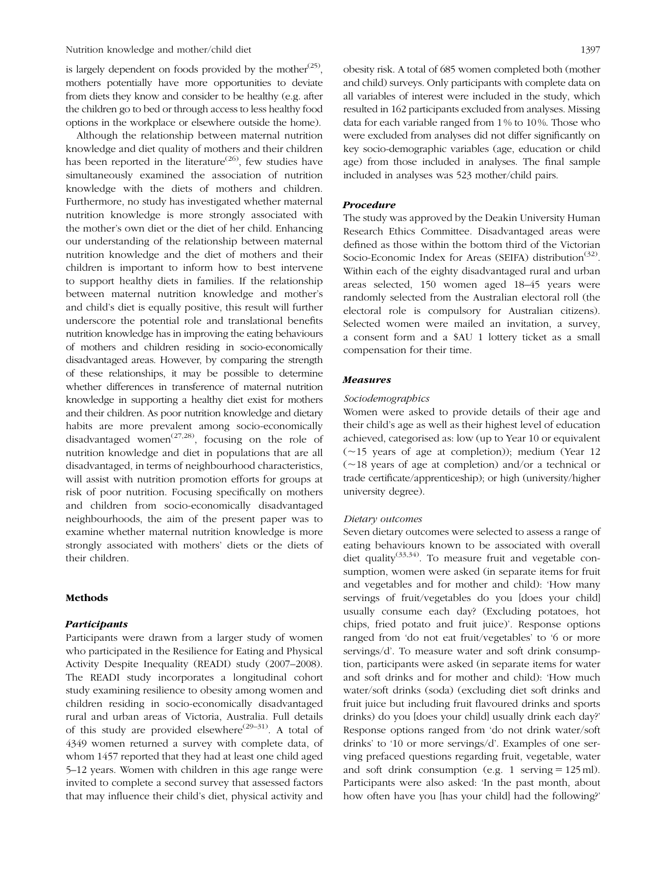Nutrition knowledge and mother/child diet 1397

is largely dependent on foods provided by the mother<sup> $(25)$ </sup>, mothers potentially have more opportunities to deviate from diets they know and consider to be healthy (e.g. after the children go to bed or through access to less healthy food options in the workplace or elsewhere outside the home).

Although the relationship between maternal nutrition knowledge and diet quality of mothers and their children has been reported in the literature<sup>(26)</sup>, few studies have simultaneously examined the association of nutrition knowledge with the diets of mothers and children. Furthermore, no study has investigated whether maternal nutrition knowledge is more strongly associated with the mother's own diet or the diet of her child. Enhancing our understanding of the relationship between maternal nutrition knowledge and the diet of mothers and their children is important to inform how to best intervene to support healthy diets in families. If the relationship between maternal nutrition knowledge and mother's and child's diet is equally positive, this result will further underscore the potential role and translational benefits nutrition knowledge has in improving the eating behaviours of mothers and children residing in socio-economically disadvantaged areas. However, by comparing the strength of these relationships, it may be possible to determine whether differences in transference of maternal nutrition knowledge in supporting a healthy diet exist for mothers and their children. As poor nutrition knowledge and dietary habits are more prevalent among socio-economically disadvantaged women<sup> $(27,28)$ </sup>, focusing on the role of nutrition knowledge and diet in populations that are all disadvantaged, in terms of neighbourhood characteristics, will assist with nutrition promotion efforts for groups at risk of poor nutrition. Focusing specifically on mothers and children from socio-economically disadvantaged neighbourhoods, the aim of the present paper was to examine whether maternal nutrition knowledge is more strongly associated with mothers' diets or the diets of their children.

#### Methods

#### Participants

Participants were drawn from a larger study of women who participated in the Resilience for Eating and Physical Activity Despite Inequality (READI) study (2007–2008). The READI study incorporates a longitudinal cohort study examining resilience to obesity among women and children residing in socio-economically disadvantaged rural and urban areas of Victoria, Australia. Full details of this study are provided elsewhere<sup>(29–31)</sup>. A total of 4349 women returned a survey with complete data, of whom 1457 reported that they had at least one child aged 5–12 years. Women with children in this age range were invited to complete a second survey that assessed factors that may influence their child's diet, physical activity and obesity risk. A total of 685 women completed both (mother and child) surveys. Only participants with complete data on all variables of interest were included in the study, which resulted in 162 participants excluded from analyses. Missing data for each variable ranged from 1 % to 10 %. Those who were excluded from analyses did not differ significantly on key socio-demographic variables (age, education or child age) from those included in analyses. The final sample included in analyses was 523 mother/child pairs.

#### Procedure

The study was approved by the Deakin University Human Research Ethics Committee. Disadvantaged areas were defined as those within the bottom third of the Victorian Socio-Economic Index for Areas (SEIFA) distribution<sup>(32)</sup>. Within each of the eighty disadvantaged rural and urban areas selected, 150 women aged 18–45 years were randomly selected from the Australian electoral roll (the electoral role is compulsory for Australian citizens). Selected women were mailed an invitation, a survey, a consent form and a \$AU 1 lottery ticket as a small compensation for their time.

#### Measures

#### Sociodemographics

Women were asked to provide details of their age and their child's age as well as their highest level of education achieved, categorised as: low (up to Year 10 or equivalent  $(\sim 15$  years of age at completion)); medium (Year 12  $(\sim18$  years of age at completion) and/or a technical or trade certificate/apprenticeship); or high (university/higher university degree).

#### Dietary outcomes

Seven dietary outcomes were selected to assess a range of eating behaviours known to be associated with overall diet quality<sup>(33,34)</sup>. To measure fruit and vegetable consumption, women were asked (in separate items for fruit and vegetables and for mother and child): 'How many servings of fruit/vegetables do you [does your child] usually consume each day? (Excluding potatoes, hot chips, fried potato and fruit juice)'. Response options ranged from 'do not eat fruit/vegetables' to '6 or more servings/d'. To measure water and soft drink consumption, participants were asked (in separate items for water and soft drinks and for mother and child): 'How much water/soft drinks (soda) (excluding diet soft drinks and fruit juice but including fruit flavoured drinks and sports drinks) do you [does your child] usually drink each day?' Response options ranged from 'do not drink water/soft drinks' to '10 or more servings/d'. Examples of one serving prefaced questions regarding fruit, vegetable, water and soft drink consumption (e.g. 1 serving  $= 125$  ml). Participants were also asked: 'In the past month, about how often have you [has your child] had the following?'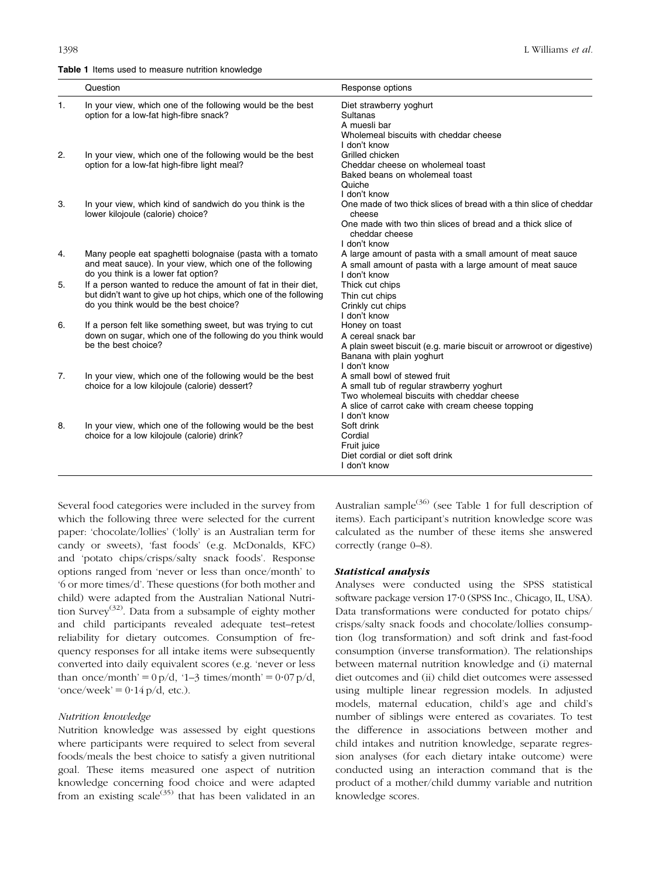#### Table 1 Items used to measure nutrition knowledge

|                | Question                                                                                                                                                                    | Response options                                                                                                                                                                            |
|----------------|-----------------------------------------------------------------------------------------------------------------------------------------------------------------------------|---------------------------------------------------------------------------------------------------------------------------------------------------------------------------------------------|
| $\mathbf{1}$ . | In your view, which one of the following would be the best<br>option for a low-fat high-fibre snack?                                                                        | Diet strawberry yoghurt<br><b>Sultanas</b><br>A muesli bar<br>Wholemeal biscuits with cheddar cheese<br>I don't know                                                                        |
| 2.             | In your view, which one of the following would be the best<br>option for a low-fat high-fibre light meal?                                                                   | Grilled chicken<br>Cheddar cheese on wholemeal toast<br>Baked beans on wholemeal toast<br>Quiche<br>I don't know                                                                            |
| 3.             | In your view, which kind of sandwich do you think is the<br>lower kilojoule (calorie) choice?                                                                               | One made of two thick slices of bread with a thin slice of cheddar<br>cheese<br>One made with two thin slices of bread and a thick slice of<br>cheddar cheese<br>I don't know               |
| 4.             | Many people eat spaghetti bolognaise (pasta with a tomato<br>and meat sauce). In your view, which one of the following<br>do you think is a lower fat option?               | A large amount of pasta with a small amount of meat sauce<br>A small amount of pasta with a large amount of meat sauce<br>I don't know                                                      |
| 5.             | If a person wanted to reduce the amount of fat in their diet,<br>but didn't want to give up hot chips, which one of the following<br>do you think would be the best choice? | Thick cut chips<br>Thin cut chips<br>Crinkly cut chips<br>I don't know                                                                                                                      |
| 6.             | If a person felt like something sweet, but was trying to cut<br>down on sugar, which one of the following do you think would<br>be the best choice?                         | Honey on toast<br>A cereal snack bar<br>A plain sweet biscuit (e.g. marie biscuit or arrowroot or digestive)<br>Banana with plain yoghurt<br>I don't know                                   |
| 7.             | In your view, which one of the following would be the best<br>choice for a low kilojoule (calorie) dessert?                                                                 | A small bowl of stewed fruit<br>A small tub of regular strawberry yoghurt<br>Two wholemeal biscuits with cheddar cheese<br>A slice of carrot cake with cream cheese topping<br>I don't know |
| 8.             | In your view, which one of the following would be the best<br>choice for a low kilojoule (calorie) drink?                                                                   | Soft drink<br>Cordial<br>Fruit juice<br>Diet cordial or diet soft drink<br>I don't know                                                                                                     |

Several food categories were included in the survey from which the following three were selected for the current paper: 'chocolate/lollies' ('lolly' is an Australian term for candy or sweets), 'fast foods' (e.g. McDonalds, KFC) and 'potato chips/crisps/salty snack foods'. Response options ranged from 'never or less than once/month' to '6 or more times/d'. These questions (for both mother and child) were adapted from the Australian National Nutrition Survey<sup>(32)</sup>. Data from a subsample of eighty mother and child participants revealed adequate test–retest reliability for dietary outcomes. Consumption of frequency responses for all intake items were subsequently converted into daily equivalent scores (e.g. 'never or less than once/month' =  $0 \text{ p/d}$ , '1–3 times/month' =  $0.07 \text{ p/d}$ , 'once/week' =  $0.14$  p/d, etc.).

#### Nutrition knowledge

Nutrition knowledge was assessed by eight questions where participants were required to select from several foods/meals the best choice to satisfy a given nutritional goal. These items measured one aspect of nutrition knowledge concerning food choice and were adapted from an existing scale $^{(35)}$  that has been validated in an Australian sample $(36)$  (see Table 1 for full description of items). Each participant's nutrition knowledge score was calculated as the number of these items she answered correctly (range  $0-8$ ).

#### Statistical analysis

Analyses were conducted using the SPSS statistical software package version 17<sup>.</sup>0 (SPSS Inc., Chicago, IL, USA). Data transformations were conducted for potato chips/ crisps/salty snack foods and chocolate/lollies consumption (log transformation) and soft drink and fast-food consumption (inverse transformation). The relationships between maternal nutrition knowledge and (i) maternal diet outcomes and (ii) child diet outcomes were assessed using multiple linear regression models. In adjusted models, maternal education, child's age and child's number of siblings were entered as covariates. To test the difference in associations between mother and child intakes and nutrition knowledge, separate regression analyses (for each dietary intake outcome) were conducted using an interaction command that is the product of a mother/child dummy variable and nutrition knowledge scores.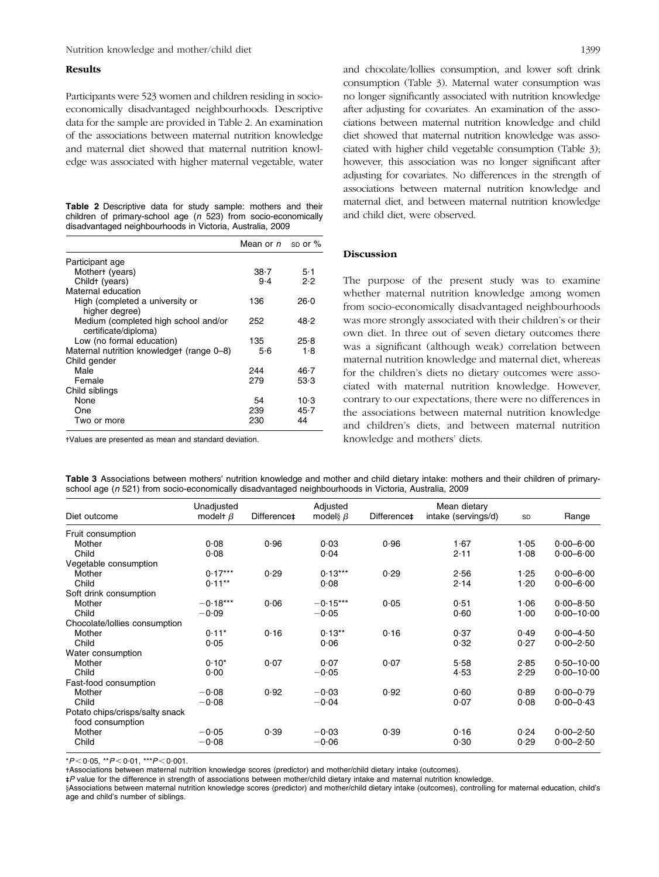#### Results

Participants were 523 women and children residing in socioeconomically disadvantaged neighbourhoods. Descriptive data for the sample are provided in Table 2. An examination of the associations between maternal nutrition knowledge and maternal diet showed that maternal nutrition knowledge was associated with higher maternal vegetable, water

|                                                           |  |  |  |  |  |  |  | Table 2 Descriptive data for study sample: mothers and their      |  |  |
|-----------------------------------------------------------|--|--|--|--|--|--|--|-------------------------------------------------------------------|--|--|
|                                                           |  |  |  |  |  |  |  | children of primary-school age $(n, 523)$ from socio-economically |  |  |
| disadvantaged neighbourhoods in Victoria, Australia, 2009 |  |  |  |  |  |  |  |                                                                   |  |  |

|                                           | Mean or $n$ sp or % |          |
|-------------------------------------------|---------------------|----------|
| Participant age                           |                     |          |
| Mothert (years)                           | $38 - 7$            | 5.1      |
| Childt (years)                            | $9-4$               | 2.2      |
| Maternal education                        |                     |          |
| High (completed a university or           | 136                 | 26.0     |
| higher degree)                            |                     |          |
| Medium (completed high school and/or      | 252                 | 48.2     |
| certificate/diploma)                      |                     |          |
| Low (no formal education)                 | 135                 | 25.8     |
| Maternal nutrition knowledget (range 0–8) | 5·6                 | 1.8      |
| Child gender                              |                     |          |
| Male                                      | 244                 | 46.7     |
| Female                                    | 279                 | 53.3     |
| Child siblings                            |                     |          |
| None                                      | 54                  | $10-3$   |
| One                                       | 239                 | $45 - 7$ |
| Two or more                               | 230                 | 44       |

-Values are presented as mean and standard deviation.

and chocolate/lollies consumption, and lower soft drink consumption (Table 3). Maternal water consumption was no longer significantly associated with nutrition knowledge after adjusting for covariates. An examination of the associations between maternal nutrition knowledge and child diet showed that maternal nutrition knowledge was associated with higher child vegetable consumption (Table 3); however, this association was no longer significant after adjusting for covariates. No differences in the strength of associations between maternal nutrition knowledge and maternal diet, and between maternal nutrition knowledge and child diet, were observed.

#### Discussion

The purpose of the present study was to examine whether maternal nutrition knowledge among women from socio-economically disadvantaged neighbourhoods was more strongly associated with their children's or their own diet. In three out of seven dietary outcomes there was a significant (although weak) correlation between maternal nutrition knowledge and maternal diet, whereas for the children's diets no dietary outcomes were associated with maternal nutrition knowledge. However, contrary to our expectations, there were no differences in the associations between maternal nutrition knowledge and children's diets, and between maternal nutrition knowledge and mothers' diets.

| Table 3 Associations between mothers' nutrition knowledge and mother and child dietary intake: mothers and their children of primary- |  |  |  |  |  |  |
|---------------------------------------------------------------------------------------------------------------------------------------|--|--|--|--|--|--|
| school age (n 521) from socio-economically disadvantaged neighbourhoods in Victoria, Australia, 2009                                  |  |  |  |  |  |  |

|                                 | Unadjusted     | Difference‡ | Adjusted       | Difference‡ | Mean dietary        |           |                |
|---------------------------------|----------------|-------------|----------------|-------------|---------------------|-----------|----------------|
| Diet outcome                    | modelt $\beta$ |             | model§ $\beta$ |             | intake (servings/d) | <b>SD</b> | Range          |
| Fruit consumption               |                |             |                |             |                     |           |                |
| Mother                          | 0.08           | 0.96        | 0.03           | 0.96        | 1.67                | 1.05      | $0.00 - 6.00$  |
| Child                           | 0.08           |             | 0.04           |             | 2.11                | 1.08      | $0.00 - 6.00$  |
| Vegetable consumption           |                |             |                |             |                     |           |                |
| Mother                          | $0.17***$      | 0.29        | $0.13***$      | 0.29        | 2.56                | 1.25      | $0.00 - 6.00$  |
| Child                           | $0.11**$       |             | 0.08           |             | 2.14                | 1.20      | $0.00 - 6.00$  |
| Soft drink consumption          |                |             |                |             |                     |           |                |
| Mother                          | $-0.18***$     | 0.06        | $-0.15***$     | 0.05        | 0.51                | 1.06      | $0.00 - 8.50$  |
| Child                           | $-0.09$        |             | $-0.05$        |             | 0.60                | 1.00      | $0.00 - 10.00$ |
| Chocolate/lollies consumption   |                |             |                |             |                     |           |                |
| Mother                          | $0.11*$        | 0.16        | $0.13**$       | 0.16        | 0.37                | 0.49      | $0.00 - 4.50$  |
| Child                           | 0.05           |             | 0.06           |             | 0.32                | 0.27      | $0.00 - 2.50$  |
| Water consumption               |                |             |                |             |                     |           |                |
| Mother                          | $0.10*$        | 0.07        | 0.07           | 0.07        | 5.58                | 2.85      | $0.50 - 10.00$ |
| Child                           | 0.00           |             | $-0.05$        |             | 4.53                | 2.29      | $0.00 - 10.00$ |
| Fast-food consumption           |                |             |                |             |                     |           |                |
| Mother                          | $-0.08$        | 0.92        | $-0.03$        | 0.92        | 0.60                | 0.89      | $0.00 - 0.79$  |
| Child                           | $-0.08$        |             | $-0.04$        |             | 0.07                | 0.08      | $0.00 - 0.43$  |
| Potato chips/crisps/salty snack |                |             |                |             |                     |           |                |
| food consumption                |                |             |                |             |                     |           |                |
| Mother                          | $-0.05$        | 0.39        | $-0.03$        | 0.39        | 0.16                | 0.24      | $0.00 - 2.50$  |
| Child                           | $-0.08$        |             | $-0.06$        |             | 0.30                | 0.29      | $0.00 - 2.50$  |

 $*P < 0.05$ ,  $*P < 0.01$ ,  $**P < 0.001$ .

-Associations between maternal nutrition knowledge scores (predictor) and mother/child dietary intake (outcomes).

- - P value for the difference in strength of associations between mother/child dietary intake and maternal nutrition knowledge.

§Associations between maternal nutrition knowledge scores (predictor) and mother/child dietary intake (outcomes), controlling for maternal education, child's age and child's number of siblings.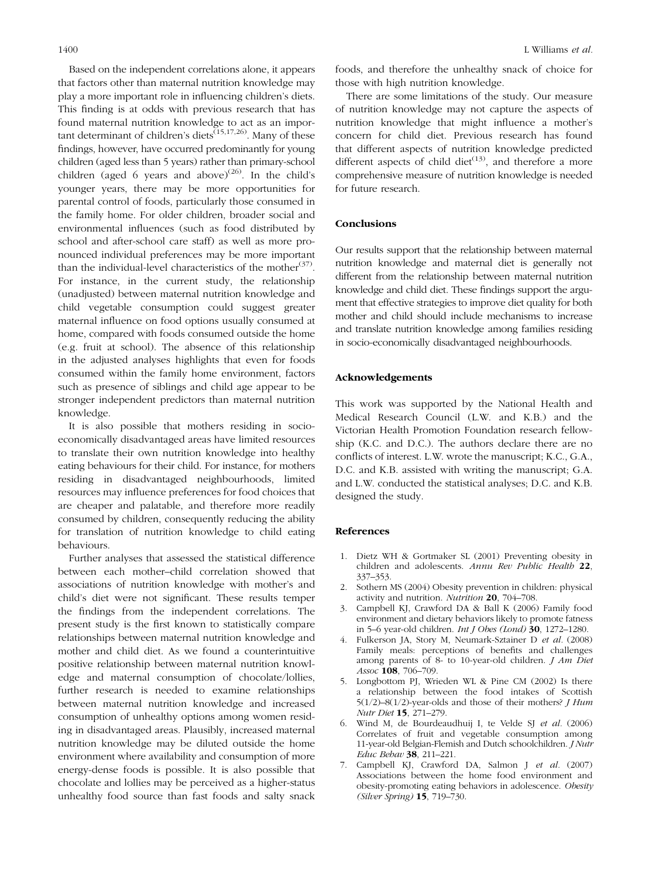Based on the independent correlations alone, it appears that factors other than maternal nutrition knowledge may play a more important role in influencing children's diets. This finding is at odds with previous research that has found maternal nutrition knowledge to act as an important determinant of children's diets<sup> $(15,17,26)$ </sup>. Many of these findings, however, have occurred predominantly for young children (aged less than 5 years) rather than primary-school children (aged 6 years and above) $^{(26)}$ . In the child's younger years, there may be more opportunities for parental control of foods, particularly those consumed in the family home. For older children, broader social and environmental influences (such as food distributed by school and after-school care staff) as well as more pronounced individual preferences may be more important than the individual-level characteristics of the mother<sup>(37)</sup>. For instance, in the current study, the relationship (unadjusted) between maternal nutrition knowledge and child vegetable consumption could suggest greater maternal influence on food options usually consumed at home, compared with foods consumed outside the home (e.g. fruit at school). The absence of this relationship in the adjusted analyses highlights that even for foods consumed within the family home environment, factors such as presence of siblings and child age appear to be stronger independent predictors than maternal nutrition knowledge.

It is also possible that mothers residing in socioeconomically disadvantaged areas have limited resources to translate their own nutrition knowledge into healthy eating behaviours for their child. For instance, for mothers residing in disadvantaged neighbourhoods, limited resources may influence preferences for food choices that are cheaper and palatable, and therefore more readily consumed by children, consequently reducing the ability for translation of nutrition knowledge to child eating behaviours.

Further analyses that assessed the statistical difference between each mother–child correlation showed that associations of nutrition knowledge with mother's and child's diet were not significant. These results temper the findings from the independent correlations. The present study is the first known to statistically compare relationships between maternal nutrition knowledge and mother and child diet. As we found a counterintuitive positive relationship between maternal nutrition knowledge and maternal consumption of chocolate/lollies, further research is needed to examine relationships between maternal nutrition knowledge and increased consumption of unhealthy options among women residing in disadvantaged areas. Plausibly, increased maternal nutrition knowledge may be diluted outside the home environment where availability and consumption of more energy-dense foods is possible. It is also possible that chocolate and lollies may be perceived as a higher-status unhealthy food source than fast foods and salty snack foods, and therefore the unhealthy snack of choice for those with high nutrition knowledge.

There are some limitations of the study. Our measure of nutrition knowledge may not capture the aspects of nutrition knowledge that might influence a mother's concern for child diet. Previous research has found that different aspects of nutrition knowledge predicted different aspects of child diet<sup> $(13)$ </sup>, and therefore a more comprehensive measure of nutrition knowledge is needed for future research.

#### Conclusions

Our results support that the relationship between maternal nutrition knowledge and maternal diet is generally not different from the relationship between maternal nutrition knowledge and child diet. These findings support the argument that effective strategies to improve diet quality for both mother and child should include mechanisms to increase and translate nutrition knowledge among families residing in socio-economically disadvantaged neighbourhoods.

#### Acknowledgements

This work was supported by the National Health and Medical Research Council (L.W. and K.B.) and the Victorian Health Promotion Foundation research fellowship (K.C. and D.C.). The authors declare there are no conflicts of interest. L.W. wrote the manuscript; K.C., G.A., D.C. and K.B. assisted with writing the manuscript; G.A. and L.W. conducted the statistical analyses; D.C. and K.B. designed the study.

#### References

- 1. Dietz WH & Gortmaker SL (2001) Preventing obesity in children and adolescents. Annu Rev Public Health 22, 337–353.
- 2. Sothern MS (2004) Obesity prevention in children: physical activity and nutrition. Nutrition 20, 704–708.
- 3. Campbell KJ, Crawford DA & Ball K (2006) Family food environment and dietary behaviors likely to promote fatness in 5–6 year-old children. Int J Obes (Lond) 30, 1272–1280.
- 4. Fulkerson JA, Story M, Neumark-Sztainer D et al. (2008) Family meals: perceptions of benefits and challenges among parents of 8- to 10-year-old children. J Am Diet Assoc 108, 706-709.
- 5. Longbottom PJ, Wrieden WL & Pine CM (2002) Is there a relationship between the food intakes of Scottish 5(1/2)–8(1/2)-year-olds and those of their mothers?  $J$  Hum Nutr Diet 15, 271–279.
- 6. Wind M, de Bourdeaudhuij I, te Velde SJ et al. (2006) Correlates of fruit and vegetable consumption among 11-year-old Belgian-Flemish and Dutch schoolchildren. J Nutr Educ Behav 38, 211–221.
- Campbell KJ, Crawford DA, Salmon J et al. (2007) Associations between the home food environment and obesity-promoting eating behaviors in adolescence. Obesity (Silver Spring) 15, 719–730.